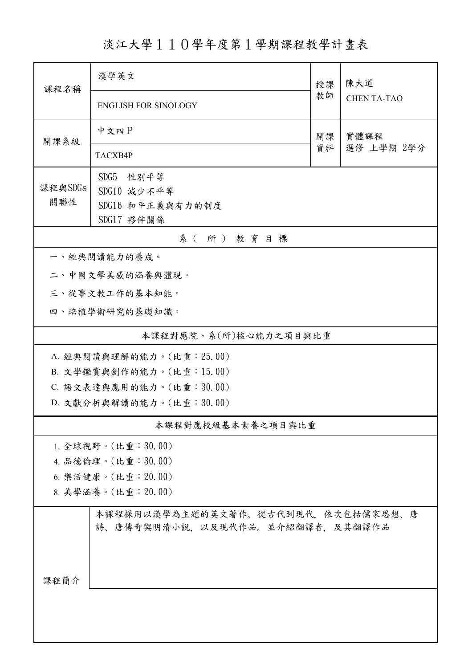淡江大學110學年度第1學期課程教學計畫表

| 課程名稱                     | 漢學英文                                                                  |          | 陳大道                |  |  |  |  |
|--------------------------|-----------------------------------------------------------------------|----------|--------------------|--|--|--|--|
|                          | <b>ENGLISH FOR SINOLOGY</b>                                           | 教師       | <b>CHEN TA-TAO</b> |  |  |  |  |
| 開課系級                     | 中文四P                                                                  | 開課<br>資料 | 實體課程<br>選修 上學期 2學分 |  |  |  |  |
|                          | TACXB4P                                                               |          |                    |  |  |  |  |
|                          | SDG5 性别平等                                                             |          |                    |  |  |  |  |
| 課程與SDGs                  | SDG10 減少不平等                                                           |          |                    |  |  |  |  |
| 關聯性                      | SDG16 和平正義與有力的制度                                                      |          |                    |  |  |  |  |
|                          | SDG17 夥伴關係                                                            |          |                    |  |  |  |  |
| 系(所)教育目標                 |                                                                       |          |                    |  |  |  |  |
|                          | 一、經典閱讀能力的養成。                                                          |          |                    |  |  |  |  |
|                          | 二、中國文學美感的涵養與體現。                                                       |          |                    |  |  |  |  |
|                          | 三、從事文教工作的基本知能。                                                        |          |                    |  |  |  |  |
|                          | 四、培植學術研究的基礎知識。                                                        |          |                    |  |  |  |  |
|                          | 本課程對應院、系(所)核心能力之項目與比重                                                 |          |                    |  |  |  |  |
|                          | A. 經典閱讀與理解的能力。(比重: 25.00)                                             |          |                    |  |  |  |  |
| B. 文學鑑賞與創作的能力。(比重:15.00) |                                                                       |          |                    |  |  |  |  |
| C. 語文表達與應用的能力。(比重:30.00) |                                                                       |          |                    |  |  |  |  |
|                          | D. 文獻分析與解讀的能力。(比重:30.00)                                              |          |                    |  |  |  |  |
| 本課程對應校級基本素養之項目與比重        |                                                                       |          |                    |  |  |  |  |
|                          | 1. 全球視野。(比重: $30.00$ )                                                |          |                    |  |  |  |  |
| 4. 品德倫理。(比重:30.00)       |                                                                       |          |                    |  |  |  |  |
| 6. 樂活健康。(比重: 20.00)      |                                                                       |          |                    |  |  |  |  |
| 8. 美學涵養。(比重: 20.00)      |                                                                       |          |                    |  |  |  |  |
|                          | 本課程採用以漢學為主題的英文著作。從古代到現代,依次包括儒家思想、唐<br>詩、唐傳奇與明清小說,以及現代作品。並介紹翻譯者,及其翻譯作品 |          |                    |  |  |  |  |
| 课程简介                     |                                                                       |          |                    |  |  |  |  |
|                          |                                                                       |          |                    |  |  |  |  |
|                          |                                                                       |          |                    |  |  |  |  |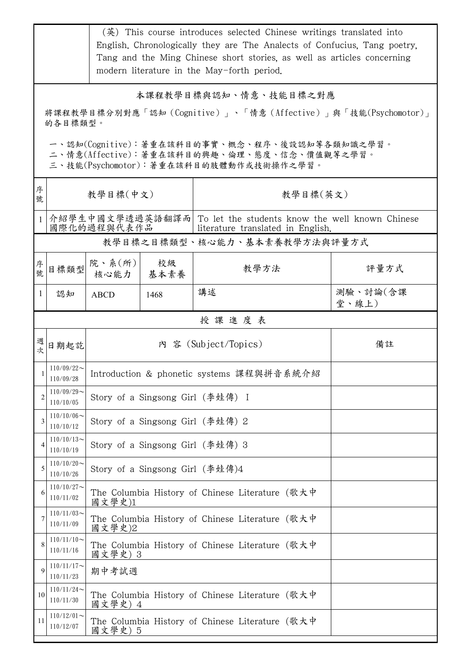|                                                                                                                                         | (英) This course introduces selected Chinese writings translated into<br>English, Chronologically they are The Analects of Confucius, Tang poetry,<br>Tang and the Ming Chinese short stories, as well as articles concerning<br>modern literature in the May-forth period. |                                                            |                                  |                                                                                                        |                   |  |  |
|-----------------------------------------------------------------------------------------------------------------------------------------|----------------------------------------------------------------------------------------------------------------------------------------------------------------------------------------------------------------------------------------------------------------------------|------------------------------------------------------------|----------------------------------|--------------------------------------------------------------------------------------------------------|-------------------|--|--|
| 本課程教學目標與認知、情意、技能目標之對應<br>將課程教學目標分別對應「認知(Cognitive)」、「情意(Affective)」與「技能(Psychomotor)」<br>的各目標類型。                                        |                                                                                                                                                                                                                                                                            |                                                            |                                  |                                                                                                        |                   |  |  |
| 一、認知(Cognitive):著重在該科目的事實、概念、程序、後設認知等各類知識之學習。<br>二、情意(Affective):著重在該科目的興趣、倫理、態度、信念、價值觀等之學習。<br>三、技能(Psychomotor): 著重在該科目的肢體動作或技術操作之學習。 |                                                                                                                                                                                                                                                                            |                                                            |                                  |                                                                                                        |                   |  |  |
| 序<br>號                                                                                                                                  | 教學目標(中文)                                                                                                                                                                                                                                                                   |                                                            |                                  | 教學目標(英文)                                                                                               |                   |  |  |
| 1                                                                                                                                       |                                                                                                                                                                                                                                                                            | 國際化的過程與代表作品                                                |                                  | 介紹學生中國文學透過英語翻譯而   To let the students know the well known Chinese<br>literature translated in English. |                   |  |  |
|                                                                                                                                         |                                                                                                                                                                                                                                                                            |                                                            |                                  | 教學目標之目標類型、核心能力、基本素養教學方法與評量方式                                                                           |                   |  |  |
| 序號                                                                                                                                      | 目標類型                                                                                                                                                                                                                                                                       | 院、系 $(\hbox{\tt m})$<br>核心能力                               | 校級<br>基本素養                       | 教學方法                                                                                                   | 評量方式              |  |  |
| $\mathbf{1}$                                                                                                                            | 認知                                                                                                                                                                                                                                                                         | <b>ABCD</b>                                                | 1468                             | 講述                                                                                                     | 測驗、討論(含課<br>堂、線上) |  |  |
| 授課進度表                                                                                                                                   |                                                                                                                                                                                                                                                                            |                                                            |                                  |                                                                                                        |                   |  |  |
| 週<br>次                                                                                                                                  | 日期起訖                                                                                                                                                                                                                                                                       |                                                            |                                  | 內 容 (Subject/Topics)                                                                                   | 備註                |  |  |
|                                                                                                                                         | $110/09/22$ ~<br>110/09/28                                                                                                                                                                                                                                                 | Introduction & phonetic systems 課程與拼音系統介紹                  |                                  |                                                                                                        |                   |  |  |
| 2                                                                                                                                       | $110/09/29$ ~<br>110/10/05                                                                                                                                                                                                                                                 | Story of a Singsong Girl (李娃傳) I                           |                                  |                                                                                                        |                   |  |  |
| 3                                                                                                                                       | $110/10/06 \sim$<br>110/10/12                                                                                                                                                                                                                                              | Story of a Singsong Girl (李娃傳) 2                           |                                  |                                                                                                        |                   |  |  |
| 4                                                                                                                                       | $110/10/13$ ~<br>110/10/19                                                                                                                                                                                                                                                 |                                                            | Story of a Singsong Girl (李娃傳) 3 |                                                                                                        |                   |  |  |
| 5                                                                                                                                       | $110/10/20$ ~<br>110/10/26                                                                                                                                                                                                                                                 | Story of a Singsong Girl (李娃傳)4                            |                                  |                                                                                                        |                   |  |  |
| 6                                                                                                                                       | $110/10/27$ ~<br>110/11/02                                                                                                                                                                                                                                                 | 國文學史)1                                                     |                                  | The Columbia History of Chinese Literature (歌大中                                                        |                   |  |  |
| 7                                                                                                                                       | $110/11/03$ ~<br>110/11/09                                                                                                                                                                                                                                                 | The Columbia History of Chinese Literature (歌大中<br>國文學史)2  |                                  |                                                                                                        |                   |  |  |
| 8                                                                                                                                       | $110/11/10$ ~<br>110/11/16                                                                                                                                                                                                                                                 | 國文學史) 3                                                    |                                  | The Columbia History of Chinese Literature (歌大中                                                        |                   |  |  |
| 9                                                                                                                                       | $110/11/17$ ~<br>110/11/23                                                                                                                                                                                                                                                 | 期中考試週                                                      |                                  |                                                                                                        |                   |  |  |
| 10                                                                                                                                      | $110/11/24$ ~<br>110/11/30                                                                                                                                                                                                                                                 | The Columbia History of Chinese Literature (歌大中<br>國文學史) 4 |                                  |                                                                                                        |                   |  |  |
| 11                                                                                                                                      | $110/12/01$ ~<br>110/12/07                                                                                                                                                                                                                                                 | 國文學史) 5                                                    |                                  | The Columbia History of Chinese Literature (歌大中                                                        |                   |  |  |